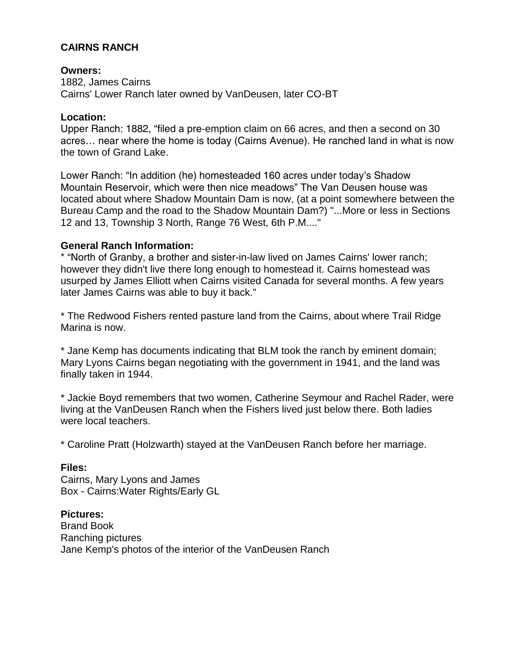# **CAIRNS RANCH**

## **Owners:**

1882, James Cairns Cairns' Lower Ranch later owned by VanDeusen, later CO-BT

## **Location:**

Upper Ranch: 1882, "filed a pre-emption claim on 66 acres, and then a second on 30 acres… near where the home is today (Cairns Avenue). He ranched land in what is now the town of Grand Lake.

Lower Ranch: "In addition (he) homesteaded 160 acres under today's Shadow Mountain Reservoir, which were then nice meadows" The Van Deusen house was located about where Shadow Mountain Dam is now, (at a point somewhere between the Bureau Camp and the road to the Shadow Mountain Dam?) "...More or less in Sections 12 and 13, Township 3 North, Range 76 West, 6th P.M...."

## **General Ranch Information:**

\* "North of Granby, a brother and sister-in-law lived on James Cairns' lower ranch; however they didn't live there long enough to homestead it. Cairns homestead was usurped by James Elliott when Cairns visited Canada for several months. A few years later James Cairns was able to buy it back."

\* The Redwood Fishers rented pasture land from the Cairns, about where Trail Ridge Marina is now.

\* Jane Kemp has documents indicating that BLM took the ranch by eminent domain; Mary Lyons Cairns began negotiating with the government in 1941, and the land was finally taken in 1944.

\* Jackie Boyd remembers that two women, Catherine Seymour and Rachel Rader, were living at the VanDeusen Ranch when the Fishers lived just below there. Both ladies were local teachers.

\* Caroline Pratt (Holzwarth) stayed at the VanDeusen Ranch before her marriage.

## **Files:**

Cairns, Mary Lyons and James Box - Cairns:Water Rights/Early GL

## **Pictures:**

Brand Book Ranching pictures Jane Kemp's photos of the interior of the VanDeusen Ranch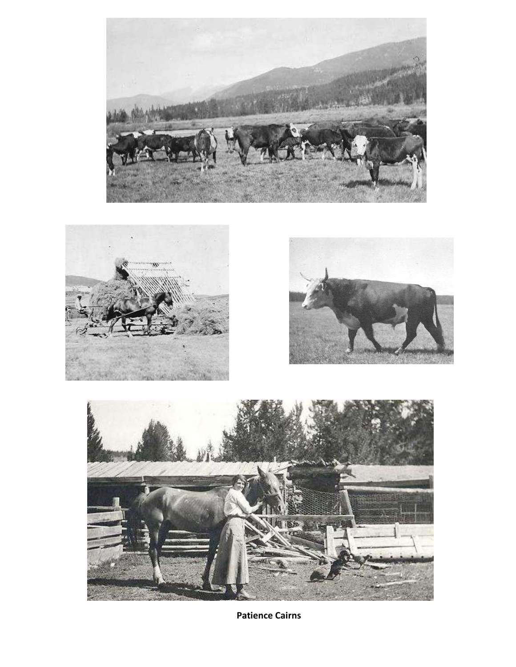







**Patience Cairns**